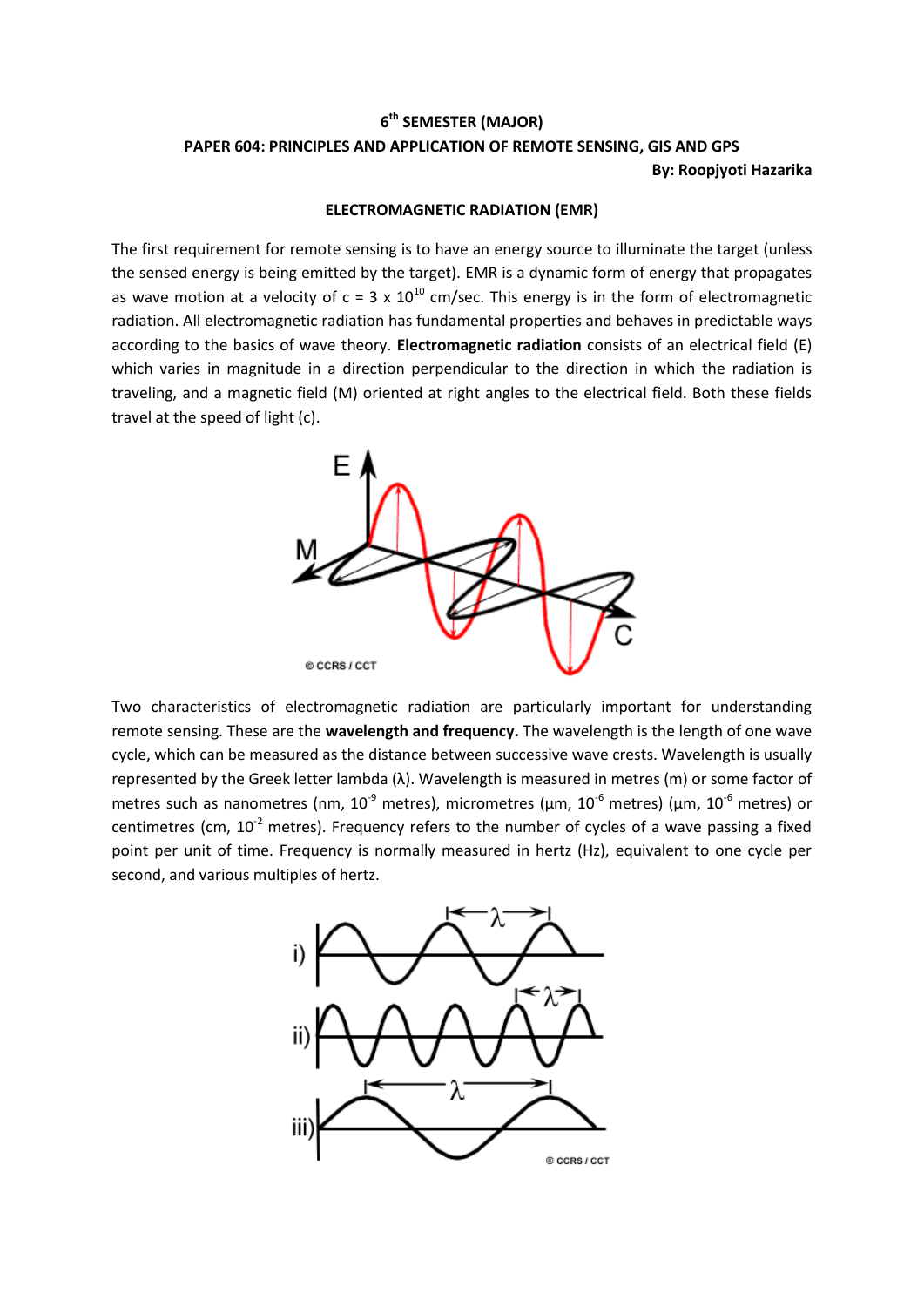## **6 th SEMESTER (MAJOR) PAPER 604: PRINCIPLES AND APPLICATION OF REMOTE SENSING, GIS AND GPS By: Roopjyoti Hazarika**

## **ELECTROMAGNETIC RADIATION (EMR)**

The first requirement for remote sensing is to have an energy source to illuminate the target (unless the sensed energy is being emitted by the target). EMR is a dynamic form of energy that propagates as wave motion at a velocity of  $c = 3 \times 10^{10}$  cm/sec. This energy is in the form of electromagnetic radiation. All electromagnetic radiation has fundamental properties and behaves in predictable ways according to the basics of wave theory. **Electromagnetic radiation** consists of an electrical field (E) which varies in magnitude in a direction perpendicular to the direction in which the radiation is traveling, and a magnetic field (M) oriented at right angles to the electrical field. Both these fields travel at the speed of light (c).



Two characteristics of electromagnetic radiation are particularly important for understanding remote sensing. These are the **wavelength and frequency.** The wavelength is the length of one wave cycle, which can be measured as the distance between successive wave crests. Wavelength is usually represented by the Greek letter lambda (λ). Wavelength is measured in metres (m) or some factor of metres such as nanometres (nm,  $10^{-9}$  metres), micrometres ( $\mu$ m,  $10^{-6}$  metres) ( $\mu$ m,  $10^{-6}$  metres) or centimetres (cm,  $10^{-2}$  metres). Frequency refers to the number of cycles of a wave passing a fixed point per unit of time. Frequency is normally measured in hertz (Hz), equivalent to one cycle per second, and various multiples of hertz.

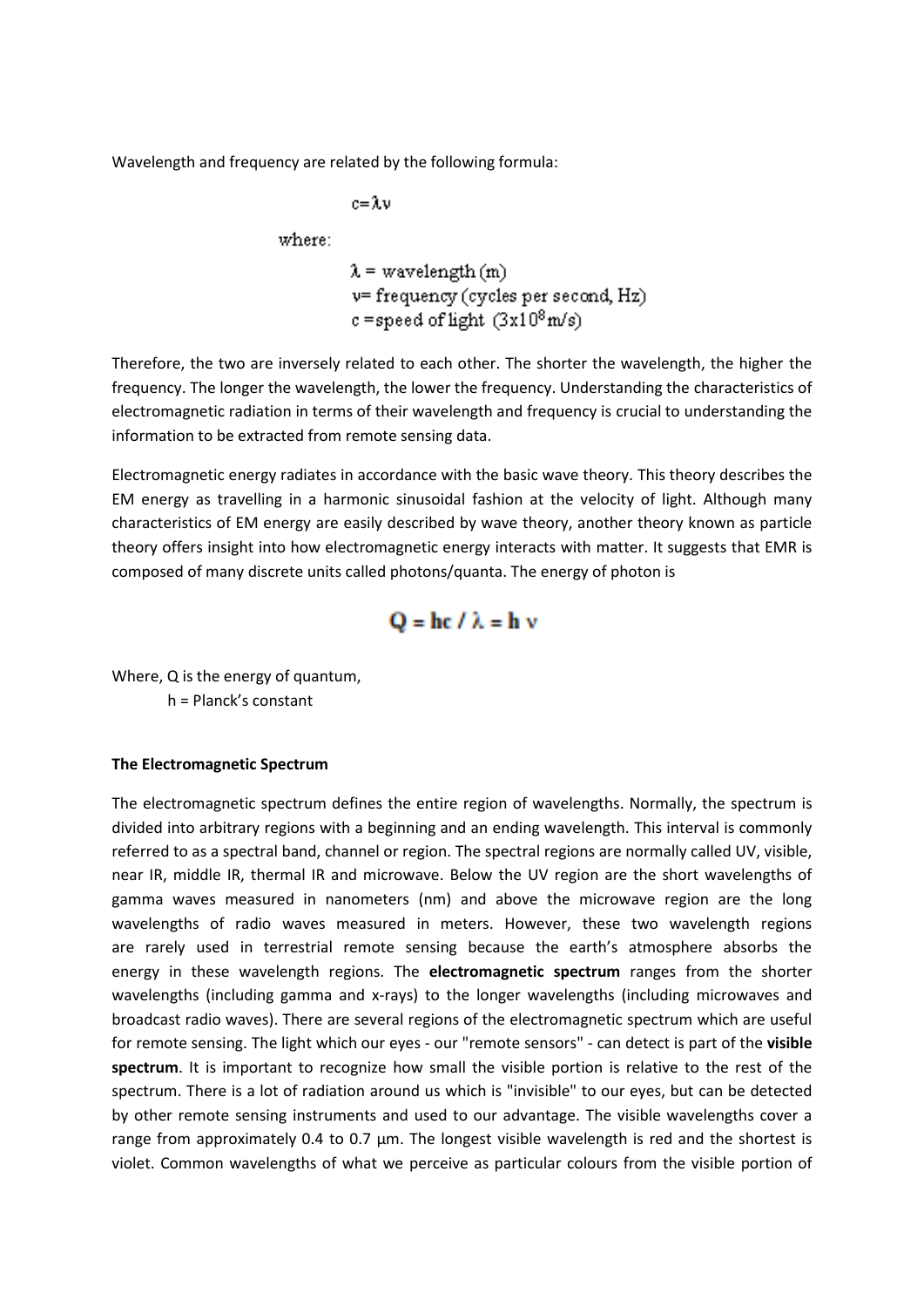Wavelength and frequency are related by the following formula:

 $c = \lambda$ .

where:

$$
\lambda
$$
 = wavelength (m)  
\nv= frequency (cycles per second, Hz)  
\nc = speed of light  $(3x10^8 \text{m/s})$ 

Therefore, the two are inversely related to each other. The shorter the wavelength, the higher the frequency. The longer the wavelength, the lower the frequency. Understanding the characteristics of electromagnetic radiation in terms of their wavelength and frequency is crucial to understanding the information to be extracted from remote sensing data.

Electromagnetic energy radiates in accordance with the basic wave theory. This theory describes the EM energy as travelling in a harmonic sinusoidal fashion at the velocity of light. Although many characteristics of EM energy are easily described by wave theory, another theory known as particle theory offers insight into how electromagnetic energy interacts with matter. It suggests that EMR is composed of many discrete units called photons/quanta. The energy of photon is

$$
Q = hc / \lambda = h v
$$

Where, Q is the energy of quantum, h = Planck's constant

## **The Electromagnetic Spectrum**

The electromagnetic spectrum defines the entire region of wavelengths. Normally, the spectrum is divided into arbitrary regions with a beginning and an ending wavelength. This interval is commonly referred to as a spectral band, channel or region. The spectral regions are normally called UV, visible, near IR, middle IR, thermal IR and microwave. Below the UV region are the short wavelengths of gamma waves measured in nanometers (nm) and above the microwave region are the long wavelengths of radio waves measured in meters. However, these two wavelength regions are rarely used in terrestrial remote sensing because the earth's atmosphere absorbs the energy in these wavelength regions. The **electromagnetic spectrum** ranges from the shorter wavelengths (including gamma and x-rays) to the longer wavelengths (including microwaves and broadcast radio waves). There are several regions of the electromagnetic spectrum which are useful for remote sensing. The light which our eyes - our "remote sensors" - can detect is part of the **visible spectrum**. It is important to recognize how small the visible portion is relative to the rest of the spectrum. There is a lot of radiation around us which is "invisible" to our eyes, but can be detected by other remote sensing instruments and used to our advantage. The visible wavelengths cover a range from approximately 0.4 to 0.7 µm. The longest visible wavelength is red and the shortest is violet. Common wavelengths of what we perceive as particular colours from the visible portion of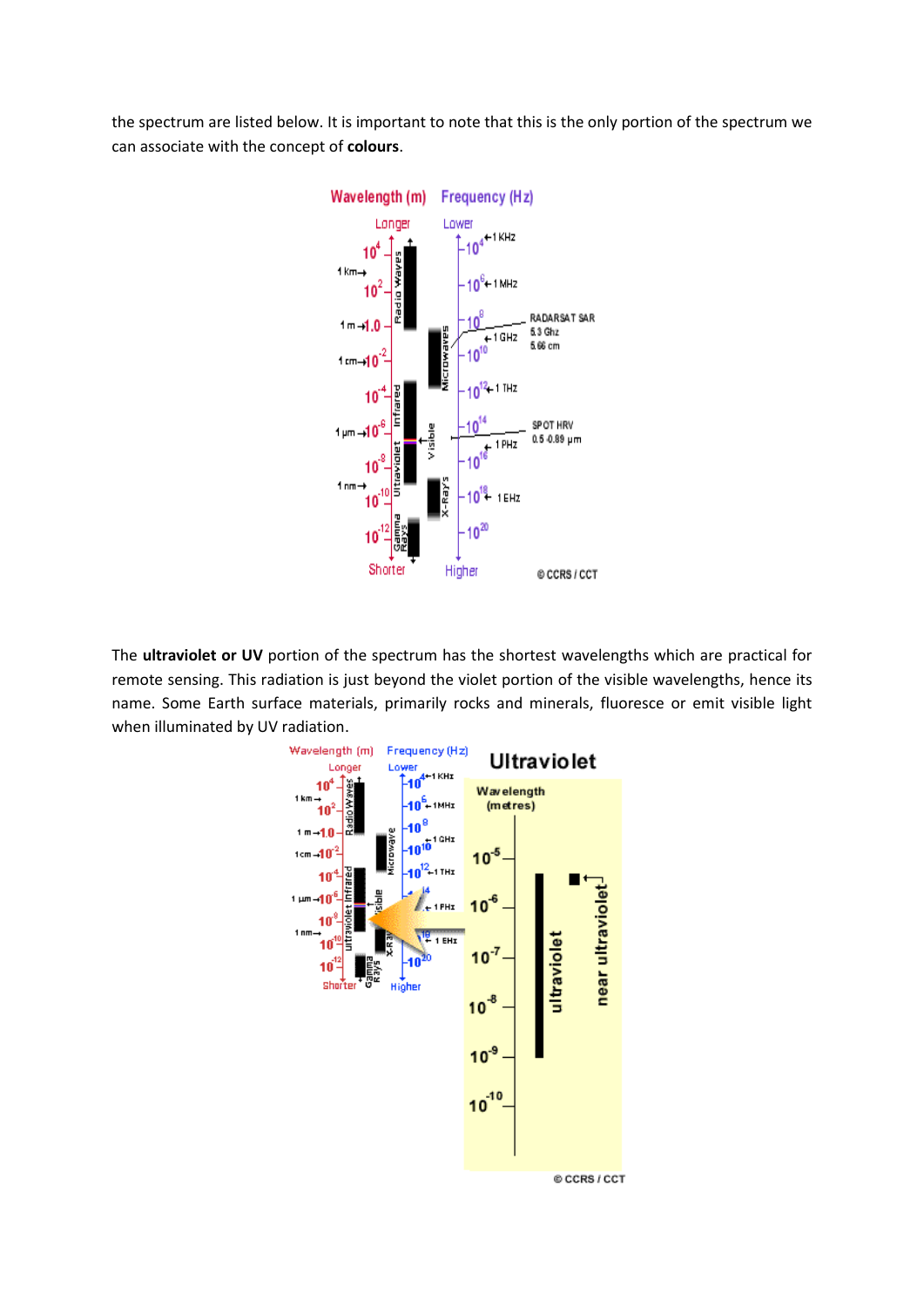the spectrum are listed below. It is important to note that this is the only portion of the spectrum we can associate with the concept of **colours**.



The **ultraviolet or UV** portion of the spectrum has the shortest wavelengths which are practical for remote sensing. This radiation is just beyond the violet portion of the visible wavelengths, hence its name. Some Earth surface materials, primarily rocks and minerals, fluoresce or emit visible light when illuminated by UV radiation.

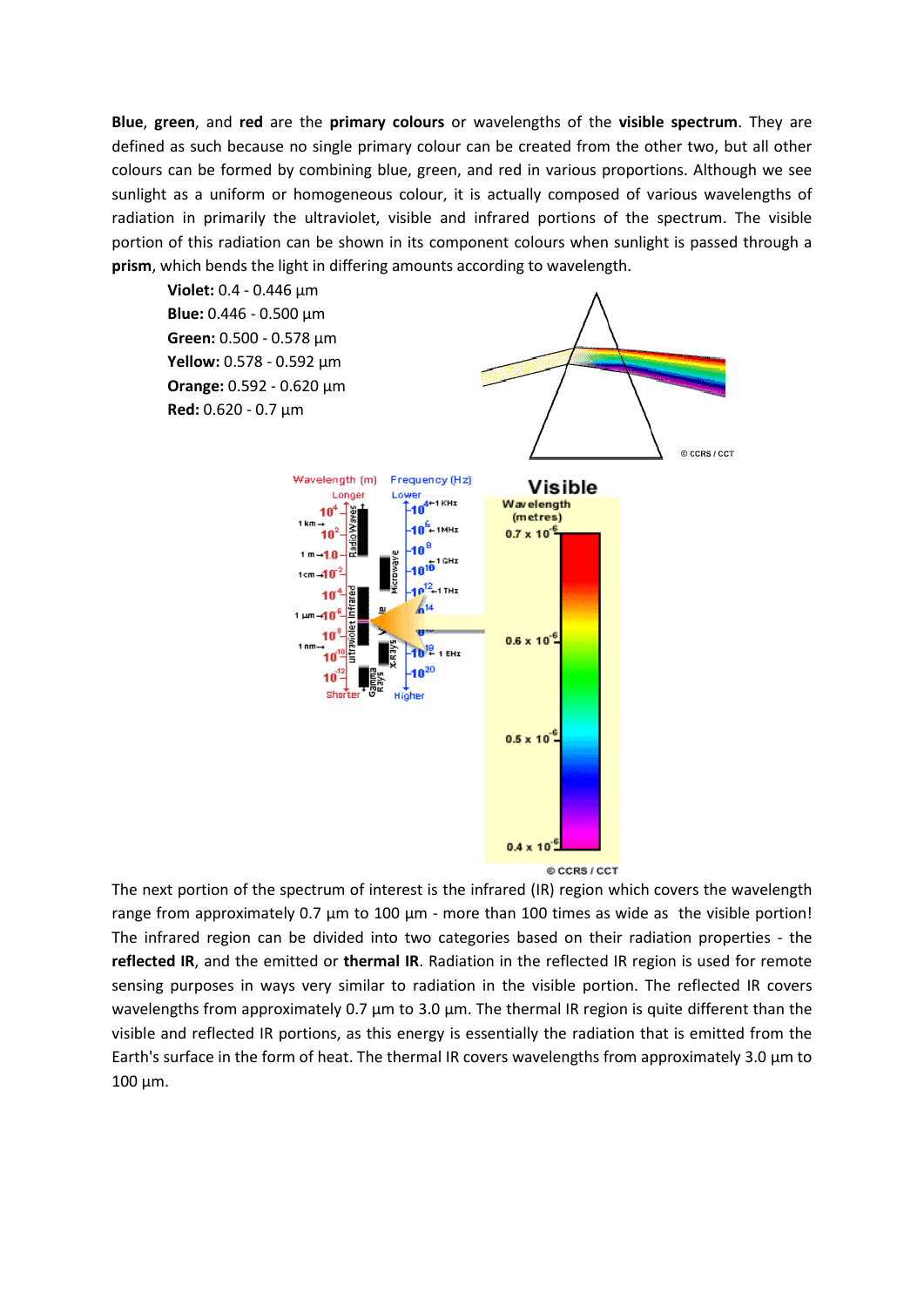**Blue**, **green**, and **red** are the **primary colours** or wavelengths of the **visible spectrum**. They are defined as such because no single primary colour can be created from the other two, but all other colours can be formed by combining blue, green, and red in various proportions. Although we see sunlight as a uniform or homogeneous colour, it is actually composed of various wavelengths of radiation in primarily the ultraviolet, visible and infrared portions of the spectrum. The visible portion of this radiation can be shown in its component colours when sunlight is passed through a **prism**, which bends the light in differing amounts according to wavelength.



The next portion of the spectrum of interest is the infrared (IR) region which covers the wavelength range from approximately 0.7 µm to 100 µm - more than 100 times as wide as the visible portion! The infrared region can be divided into two categories based on their radiation properties - the **reflected IR**, and the emitted or **thermal IR**. Radiation in the reflected IR region is used for remote sensing purposes in ways very similar to radiation in the visible portion. The reflected IR covers wavelengths from approximately 0.7 µm to 3.0 µm. The thermal IR region is quite different than the visible and reflected IR portions, as this energy is essentially the radiation that is emitted from the Earth's surface in the form of heat. The thermal IR covers wavelengths from approximately 3.0 µm to 100 µm.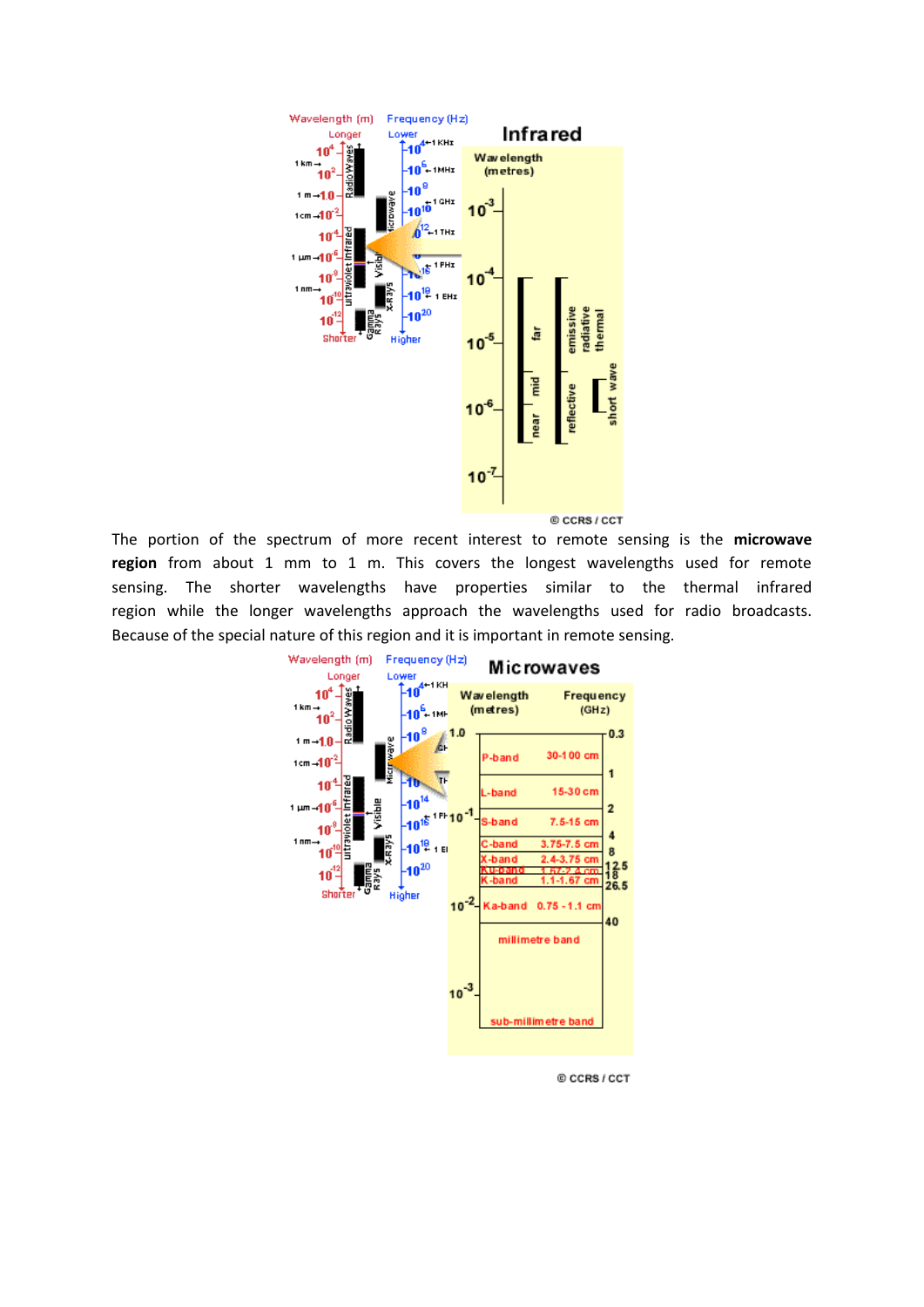

The portion of the spectrum of more recent interest to remote sensing is the **microwave region** from about 1 mm to 1 m. This covers the longest wavelengths used for remote sensing. The shorter wavelengths have properties similar to the thermal infrared region while the longer wavelengths approach the wavelengths used for radio broadcasts. Because of the special nature of this region and it is important in remote sensing.



@ CCRS / CCT